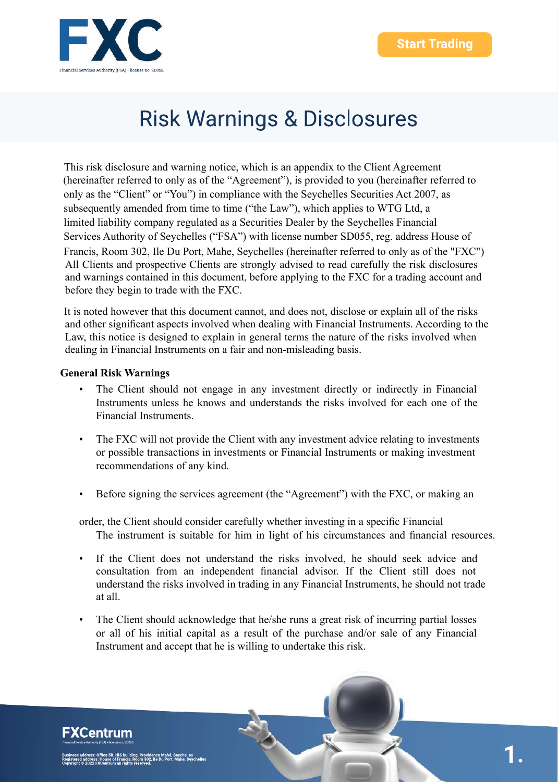

This risk disclosure and warning notice, which is an appendix to the Client Agreement (hereinafter referred to only as of the "Agreement"), is provided to you (hereinafter referred to only as the "Client" or "You") in compliance with the Seychelles Securities Act 2007, as subsequently amended from time to time ("the Law"), which applies to WTG Ltd, a limited liability company regulated as a Securities Dealer by the Seychelles Financial Services Authority of Seychelles ("FSA") with license number SD055, reg. address House of Francis, Room 302, Ile Du Port, Mahe, Seychelles (hereinafter referred to only as of the "FXC") All Clients and prospective Clients are strongly advised to read carefully the risk disclosures and warnings contained in this document, before applying to the FXC for a trading account and before they begin to trade with the FXC.

It is noted however that this document cannot, and does not, disclose or explain all of the risks and other significant aspects involved when dealing with Financial Instruments. According to the Law, this notice is designed to explain in general terms the nature of the risks involved when dealing in Financial Instruments on a fair and non-misleading basis.

#### **General Risk Warnings**

- The Client should not engage in any investment directly or indirectly in Financial Instruments unless he knows and understands the risks involved for each one of the Financial Instruments.
- The FXC will not provide the Client with any investment advice relating to investments or possible transactions in investments or Financial Instruments or making investment recommendations of any kind.
- Before signing the services agreement (the "Agreement") with the FXC, or making an
- order, the Client should consider carefully whether investing in a specific Financial The instrument is suitable for him in light of his circumstances and financial resources.
- If the Client does not understand the risks involved, he should seek advice and consultation from an independent financial advisor. If the Client still does not understand the risks involved in trading in any Financial Instruments, he should not trade at all.
- The Client should acknowledge that he/she runs a great risk of incurring partial losses or all of his initial capital as a result of the purchase and/or sale of any Financial Instrument and accept that he is willing to undertake this risk.

**FXCentrum**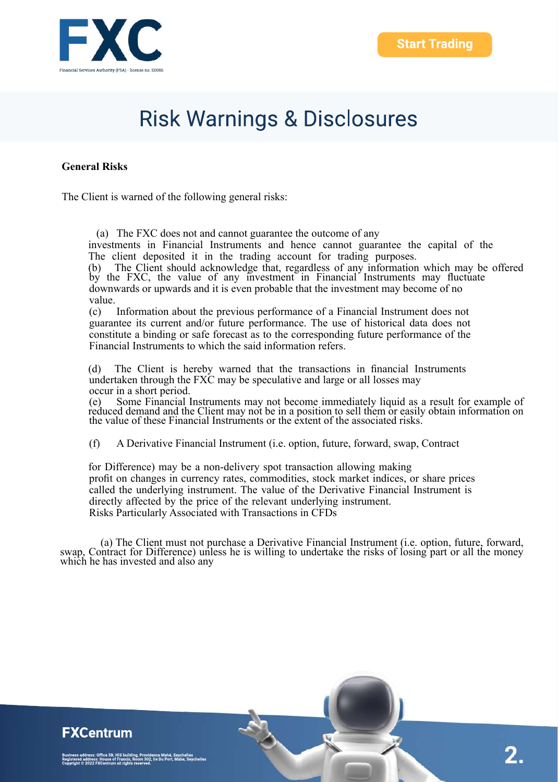

#### **General Risks**

The Client is warned of the following general risks:

(a) The FXC does not and cannot guarantee the outcome of any

investments in Financial Instruments and hence cannot guarantee the capital of the The client deposited it in the trading account for trading purposes.

(b) The Client should acknowledge that, regardless of any information which may be offered by the FXC, the value of any investment in Financial Instruments may fluctuate downwards or upwards and it is even probable that the investment may become of no value.

(c) Information about the previous performance of a Financial Instrument does not guarantee its current and/or future performance. The use of historical data does not constitute a binding or safe forecast as to the corresponding future performance of the Financial Instruments to which the said information refers.

(d) The Client is hereby warned that the transactions in financial Instruments undertaken through the FXC may be speculative and large or all losses may occur in a short period.

(e) Some Financial Instruments may not become immediately liquid as a result for example of reduced demand and the Client may not be in a position to sell them or easily obtain information on the value of these Financial Instruments or the extent of the associated risks.

(f) A Derivative Financial Instrument (i.e. option, future, forward, swap, Contract

for Difference) may be a non-delivery spot transaction allowing making profit on changes in currency rates, commodities, stock market indices, or share prices called the underlying instrument. The value of the Derivative Financial Instrument is directly affected by the price of the relevant underlying instrument. Risks Particularly Associated with Transactions in CFDs

(a) The Client must not purchase a Derivative Financial Instrument (i.e. option, future, forward, swap, Contract for Difference) unless he is willing to undertake the risks of losing part or all the money which he has invested and also any

#### **FXCentrum**

ess: Office 5B, HIS building, Providence Mahé, Seychelles<br>ress: House of Francis, Room 302, Ile Du Port, Mahe, Seychelles<br>i22 FXCentrum all rights reserved.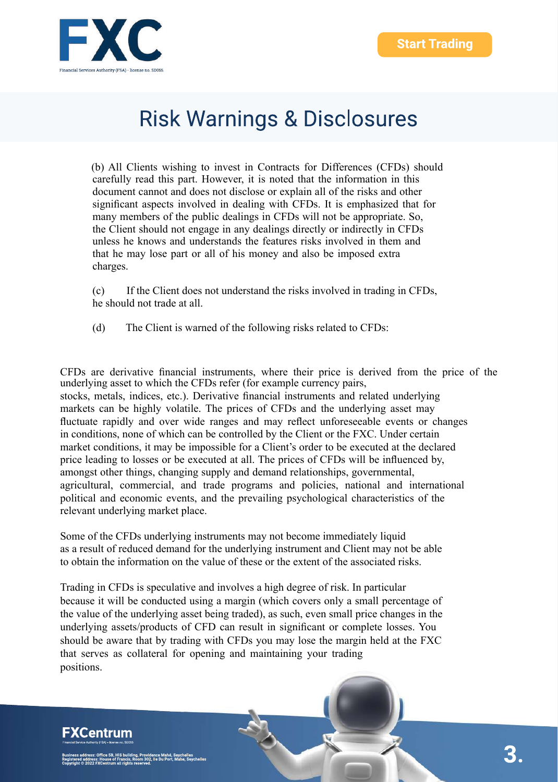

(b) All Clients wishing to invest in Contracts for Differences (CFDs) should carefully read this part. However, it is noted that the information in this document cannot and does not disclose or explain all of the risks and other significant aspects involved in dealing with CFDs. It is emphasized that for many members of the public dealings in CFDs will not be appropriate. So, the Client should not engage in any dealings directly or indirectly in CFDs unless he knows and understands the features risks involved in them and that he may lose part or all of his money and also be imposed extra charges.

(c) If the Client does not understand the risks involved in trading in CFDs, he should not trade at all.

(d) The Client is warned of the following risks related to CFDs:

CFDs are derivative financial instruments, where their price is derived from the price of the underlying asset to which the CFDs refer (for example currency pairs, stocks, metals, indices, etc.). Derivative financial instruments and related underlying markets can be highly volatile. The prices of CFDs and the underlying asset may fluctuate rapidly and over wide ranges and may reflect unforeseeable events or changes in conditions, none of which can be controlled by the Client or the FXC. Under certain market conditions, it may be impossible for a Client's order to be executed at the declared price leading to losses or be executed at all. The prices of CFDs will be influenced by, amongst other things, changing supply and demand relationships, governmental, agricultural, commercial, and trade programs and policies, national and international political and economic events, and the prevailing psychological characteristics of the relevant underlying market place.

Some of the CFDs underlying instruments may not become immediately liquid as a result of reduced demand for the underlying instrument and Client may not be able to obtain the information on the value of these or the extent of the associated risks.

Trading in CFDs is speculative and involves a high degree of risk. In particular because it will be conducted using a margin (which covers only a small percentage of the value of the underlying asset being traded), as such, even small price changes in the underlying assets/products of CFD can result in significant or complete losses. You should be aware that by trading with CFDs you may lose the margin held at the FXC that serves as collateral for opening and maintaining your trading positions.

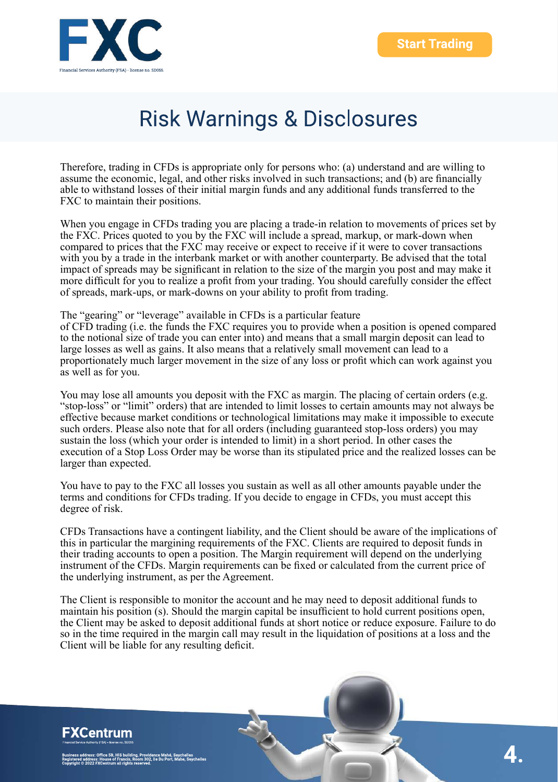

Therefore, trading in CFDs is appropriate only for persons who: (a) understand and are willing to assume the economic, legal, and other risks involved in such transactions; and (b) are financially able to withstand losses of their initial margin funds and any additional funds transferred to the FXC to maintain their positions.

When you engage in CFDs trading you are placing a trade-in relation to movements of prices set by the FXC. Prices quoted to you by the FXC will include a spread, markup, or mark-down when compared to prices that the FXC may receive or expect to receive if it were to cover transactions with you by a trade in the interbank market or with another counterparty. Be advised that the total impact of spreads may be significant in relation to the size of the margin you post and may make it more difficult for you to realize a profit from your trading. You should carefully consider the effect of spreads, mark-ups, or mark-downs on your ability to profit from trading.

The "gearing" or "leverage" available in CFDs is a particular feature of CFD trading (i.e. the funds the FXC requires you to provide when a position is opened compared to the notional size of trade you can enter into) and means that a small margin deposit can lead to large losses as well as gains. It also means that a relatively small movement can lead to a proportionately much larger movement in the size of any loss or profit which can work against you as well as for you.

You may lose all amounts you deposit with the FXC as margin. The placing of certain orders (e.g. "stop-loss" or "limit" orders) that are intended to limit losses to certain amounts may not always be effective because market conditions or technological limitations may make it impossible to execute such orders. Please also note that for all orders (including guaranteed stop-loss orders) you may sustain the loss (which your order is intended to limit) in a short period. In other cases the execution of a Stop Loss Order may be worse than its stipulated price and the realized losses can be larger than expected.

You have to pay to the FXC all losses you sustain as well as all other amounts payable under the terms and conditions for CFDs trading. If you decide to engage in CFDs, you must accept this degree of risk.

CFDs Transactions have a contingent liability, and the Client should be aware of the implications of this in particular the margining requirements of the FXC. Clients are required to deposit funds in their trading accounts to open a position. The Margin requirement will depend on the underlying instrument of the CFDs. Margin requirements can be fixed or calculated from the current price of the underlying instrument, as per the Agreement.

The Client is responsible to monitor the account and he may need to deposit additional funds to maintain his position (s). Should the margin capital be insufficient to hold current positions open, the Client may be asked to deposit additional funds at short notice or reduce exposure. Failure to do so in the time required in the margin call may result in the liquidation of positions at a loss and the Client will be liable for any resulting deficit.

### **FXCentrum**

ss: Office 5B, HIS building, Providence Mahé, Seychelles<br>ess: House of Francis, Room 302, Ile Du Port, Mahe, Seychelles<br>22 FXCentrum all rights reserved.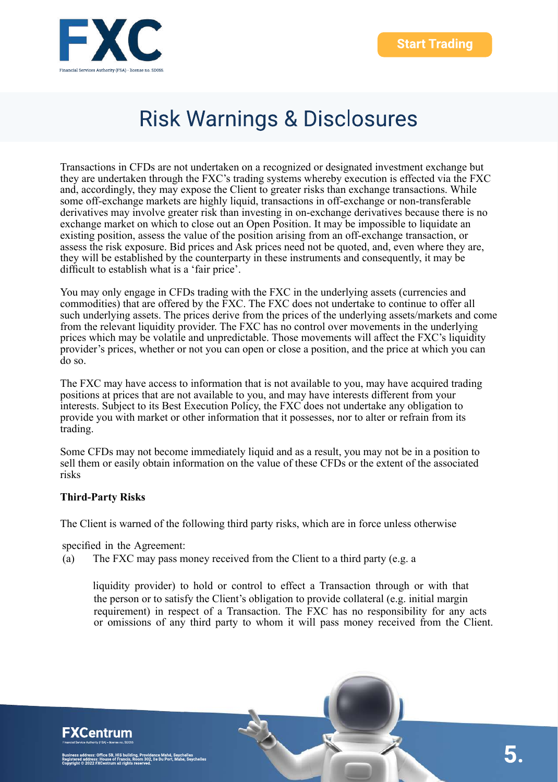

Transactions in CFDs are not undertaken on a recognized or designated investment exchange but they are undertaken through the FXC's trading systems whereby execution is effected via the FXC and, accordingly, they may expose the Client to greater risks than exchange transactions. While some off-exchange markets are highly liquid, transactions in off-exchange or non-transferable derivatives may involve greater risk than investing in on-exchange derivatives because there is no exchange market on which to close out an Open Position. It may be impossible to liquidate an existing position, assess the value of the position arising from an off-exchange transaction, or assess the risk exposure. Bid prices and Ask prices need not be quoted, and, even where they are, they will be established by the counterparty in these instruments and consequently, it may be difficult to establish what is a 'fair price'.

You may only engage in CFDs trading with the FXC in the underlying assets (currencies and commodities) that are offered by the FXC. The FXC does not undertake to continue to offer all such underlying assets. The prices derive from the prices of the underlying assets/markets and come from the relevant liquidity provider. The FXC has no control over movements in the underlying prices which may be volatile and unpredictable. Those movements will affect the FXC's liquidity provider's prices, whether or not you can open or close a position, and the price at which you can do so.

The FXC may have access to information that is not available to you, may have acquired trading positions at prices that are not available to you, and may have interests different from your interests. Subject to its Best Execution Policy, the FXC does not undertake any obligation to provide you with market or other information that it possesses, nor to alter or refrain from its trading.

Some CFDs may not become immediately liquid and as a result, you may not be in a position to sell them or easily obtain information on the value of these CFDs or the extent of the associated risks

#### **Third-Party Risks**

The Client is warned of the following third party risks, which are in force unless otherwise

specified in the Agreement:

(a) The FXC may pass money received from the Client to a third party (e.g. a

liquidity provider) to hold or control to effect a Transaction through or with that the person or to satisfy the Client's obligation to provide collateral (e.g. initial margin requirement) in respect of a Transaction. The FXC has no responsibility for any acts or omissions of any third party to whom it will pass money received from the Client.

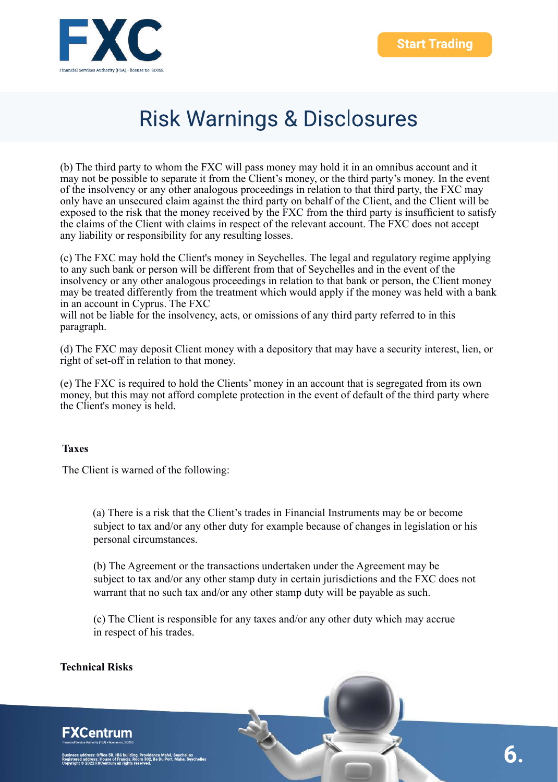

(b) The third party to whom the FXC will pass money may hold it in an omnibus account and it may not be possible to separate it from the Client's money, or the third party's money. In the event of the insolvency or any other analogous proceedings in relation to that third party, the FXC may only have an unsecured claim against the third party on behalf of the Client, and the Client will be exposed to the risk that the money received by the FXC from the third party is insufficient to satisfy the claims of the Client with claims in respect of the relevant account. The FXC does not accept any liability or responsibility for any resulting losses.

(c) The FXC may hold the Client's money in Seychelles. The legal and regulatory regime applying to any such bank or person will be different from that of Seychelles and in the event of the insolvency or any other analogous proceedings in relation to that bank or person, the Client money may be treated differently from the treatment which would apply if the money was held with a bank in an account in Cyprus. The FXC

will not be liable for the insolvency, acts, or omissions of any third party referred to in this paragraph.

(d) The FXC may deposit Client money with a depository that may have a security interest, lien, or right of set-off in relation to that money.

(e) The FXC is required to hold the Clients' money in an account that is segregated from its own money, but this may not afford complete protection in the event of default of the third party where the Client's money is held.

#### **Taxes**

The Client is warned of the following:

(a) There is a risk that the Client's trades in Financial Instruments may be or become subject to tax and/or any other duty for example because of changes in legislation or his personal circumstances.

(b) The Agreement or the transactions undertaken under the Agreement may be subject to tax and/or any other stamp duty in certain jurisdictions and the FXC does not warrant that no such tax and/or any other stamp duty will be payable as such.

(c) The Client is responsible for any taxes and/or any other duty which may accrue in respect of his trades.

#### **Technical Risks**

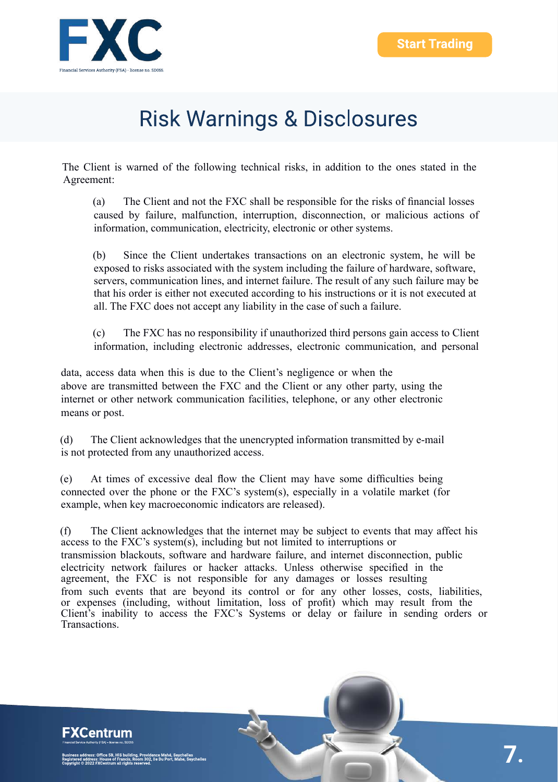

The Client is warned of the following technical risks, in addition to the ones stated in the Agreement:

(a) The Client and not the FXC shall be responsible for the risks of financial losses caused by failure, malfunction, interruption, disconnection, or malicious actions of information, communication, electricity, electronic or other systems.

(b) Since the Client undertakes transactions on an electronic system, he will be exposed to risks associated with the system including the failure of hardware, software, servers, communication lines, and internet failure. The result of any such failure may be that his order is either not executed according to his instructions or it is not executed at all. The FXC does not accept any liability in the case of such a failure.

(c) The FXC has no responsibility if unauthorized third persons gain access to Client information, including electronic addresses, electronic communication, and personal

data, access data when this is due to the Client's negligence or when the above are transmitted between the FXC and the Client or any other party, using the internet or other network communication facilities, telephone, or any other electronic means or post.

(d) The Client acknowledges that the unencrypted information transmitted by e-mail is not protected from any unauthorized access.

(e) At times of excessive deal flow the Client may have some difficulties being connected over the phone or the FXC's system(s), especially in a volatile market (for example, when key macroeconomic indicators are released).

(f) The Client acknowledges that the internet may be subject to events that may affect his access to the FXC's system(s), including but not limited to interruptions or transmission blackouts, software and hardware failure, and internet disconnection, public electricity network failures or hacker attacks. Unless otherwise specified in the agreement, the FXC is not responsible for any damages or losses resulting from such events that are beyond its control or for any other losses, costs, liabilities, or expenses (including, without limitation, loss of profit) which may result from the Client's inability to access the FXC's Systems or delay or failure in sending orders or Transactions.

### **FXCentrum** e 5B, HIS building, Providence Mahé, Seychelles<br>ise of Francis, Room 302, Ile Du Port, Mahe, Seychelles<br>ntrum all rights reserved.

7.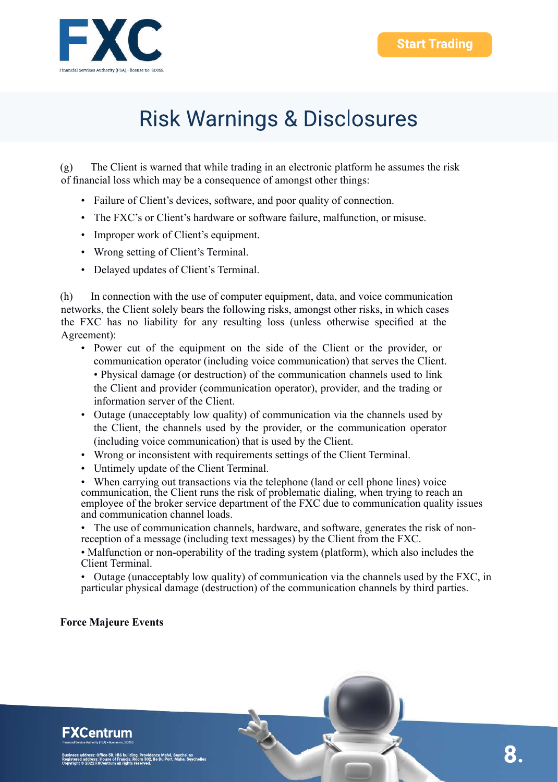

(g) The Client is warned that while trading in an electronic platform he assumes the risk of financial loss which may be a consequence of amongst other things:

- Failure of Client's devices, software, and poor quality of connection.
- The FXC's or Client's hardware or software failure, malfunction, or misuse.
- Improper work of Client's equipment.
- Wrong setting of Client's Terminal.
- Delayed updates of Client's Terminal.

(h) In connection with the use of computer equipment, data, and voice communication networks, the Client solely bears the following risks, amongst other risks, in which cases the FXC has no liability for any resulting loss (unless otherwise specified at the Agreement):

- Power cut of the equipment on the side of the Client or the provider, or communication operator (including voice communication) that serves the Client. • Physical damage (or destruction) of the communication channels used to link the Client and provider (communication operator), provider, and the trading or information server of the Client.
- Outage (unacceptably low quality) of communication via the channels used by the Client, the channels used by the provider, or the communication operator (including voice communication) that is used by the Client.
- Wrong or inconsistent with requirements settings of the Client Terminal.
- Untimely update of the Client Terminal.

When carrying out transactions via the telephone (land or cell phone lines) voice communication, the Client runs the risk of problematic dialing, when trying to reach an employee of the broker service department of the FXC due to communication quality issues and communication channel loads.

• The use of communication channels, hardware, and software, generates the risk of nonreception of a message (including text messages) by the Client from the FXC.

• Malfunction or non-operability of the trading system (platform), which also includes the Client Terminal.

• Outage (unacceptably low quality) of communication via the channels used by the FXC, in particular physical damage (destruction) of the communication channels by third parties.

#### **Force Majeure Events**